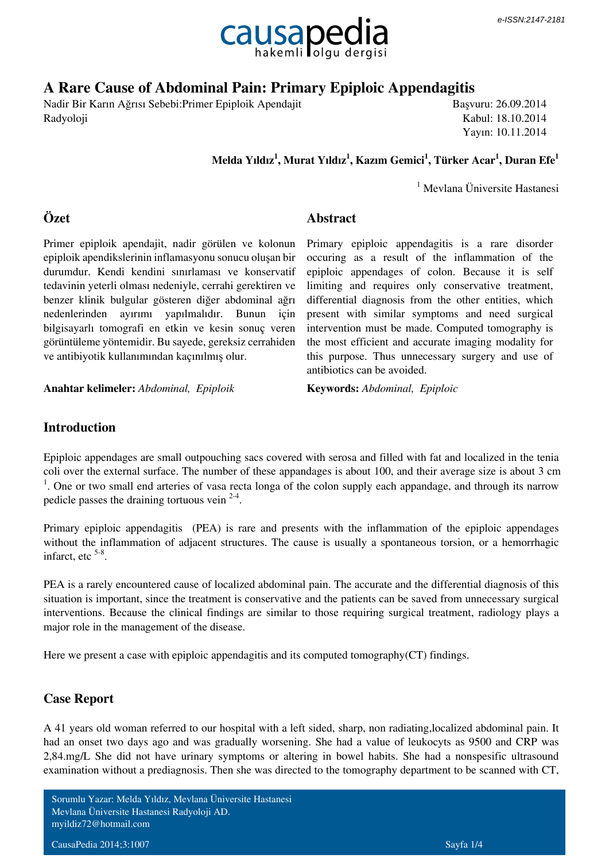

# **A Rare Cause of Abdominal Pain: Primary Epiploic Appendagitis**

Nadir Bir Karın Ağrısı Sebebi:Primer Epiploik Apendajit Radyoloji

Başvuru: 26.09.2014 Kabul: 18.10.2014 Yayın: 10.11.2014

 **Melda Yıldız<sup>1</sup> , Murat Yıldız<sup>1</sup> , Kazım Gemici<sup>1</sup> , Türker Acar<sup>1</sup> , Duran Efe<sup>1</sup>**

<sup>1</sup> Mevlana Üniversite Hastanesi

### **Özet**

**Abstract**

Primer epiploik apendajit, nadir görülen ve kolonun epiploik apendikslerinin inflamasyonu sonucu oluşan bir durumdur. Kendi kendini sınırlaması ve konservatif tedavinin yeterli olması nedeniyle, cerrahi gerektiren ve benzer klinik bulgular gösteren diğer abdominal ağrı nedenlerinden ayırımı yapılmalıdır. Bunun için bilgisayarlı tomografi en etkin ve kesin sonuç veren görüntüleme yöntemidir. Bu sayede, gereksiz cerrahiden ve antibiyotik kullanımından kaçınılmış olur.

**Anahtar kelimeler:** *Abdominal, Epiploik* **Keywords:** *Abdominal, Epiploic*

Primary epiploic appendagitis is a rare disorder occuring as a result of the inflammation of the epiploic appendages of colon. Because it is self limiting and requires only conservative treatment, differential diagnosis from the other entities, which present with similar symptoms and need surgical intervention must be made. Computed tomography is the most efficient and accurate imaging modality for this purpose. Thus unnecessary surgery and use of antibiotics can be avoided.

### **Introduction**

Epiploic appendages are small outpouching sacs covered with serosa and filled with fat and localized in the tenia coli over the external surface. The number of these appandages is about 100, and their average size is about 3 cm <sup>1</sup>. One or two small end arteries of vasa recta longa of the colon supply each appandage, and through its narrow pedicle passes the draining tortuous vein  $2-4$ .

Primary epiploic appendagitis (PEA) is rare and presents with the inflammation of the epiploic appendages without the inflammation of adjacent structures. The cause is usually a spontaneous torsion, or a hemorrhagic infarct, etc  $5-8$ .

PEA is a rarely encountered cause of localized abdominal pain. The accurate and the differential diagnosis of this situation is important, since the treatment is conservative and the patients can be saved from unnecessary surgical interventions. Because the clinical findings are similar to those requiring surgical treatment, radiology plays a major role in the management of the disease.

Here we present a case with epiploic appendagitis and its computed tomography(CT) findings.

## **Case Report**

A 41 years old woman referred to our hospital with a left sided, sharp, non radiating,localized abdominal pain. It had an onset two days ago and was gradually worsening. She had a value of leukocyts as 9500 and CRP was 2,84.mg/L She did not have urinary symptoms or altering in bowel habits. She had a nonspesific ultrasound examination without a prediagnosis. Then she was directed to the tomography department to be scanned with CT,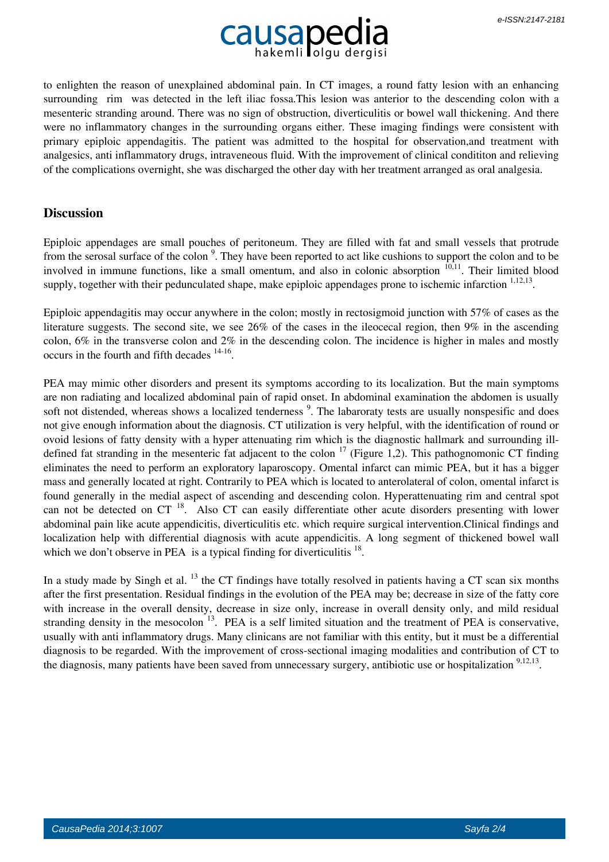

to enlighten the reason of unexplained abdominal pain. In CT images, a round fatty lesion with an enhancing surrounding rim was detected in the left iliac fossa.This lesion was anterior to the descending colon with a mesenteric stranding around. There was no sign of obstruction, diverticulitis or bowel wall thickening. And there were no inflammatory changes in the surrounding organs either. These imaging findings were consistent with primary epiploic appendagitis. The patient was admitted to the hospital for observation,and treatment with analgesics, anti inflammatory drugs, intraveneous fluid. With the improvement of clinical condititon and relieving of the complications overnight, she was discharged the other day with her treatment arranged as oral analgesia.

#### **Discussion**

Epiploic appendages are small pouches of peritoneum. They are filled with fat and small vessels that protrude from the serosal surface of the colon<sup>9</sup>. They have been reported to act like cushions to support the colon and to be involved in immune functions, like a small omentum, and also in colonic absorption <sup>10,11</sup>. Their limited blood supply, together with their pedunculated shape, make epiploic appendages prone to ischemic infarction <sup>1,12,13</sup>.

Epiploic appendagitis may occur anywhere in the colon; mostly in rectosigmoid junction with 57% of cases as the literature suggests. The second site, we see 26% of the cases in the ileocecal region, then 9% in the ascending colon, 6% in the transverse colon and 2% in the descending colon. The incidence is higher in males and mostly occurs in the fourth and fifth decades  $14-16$ .

PEA may mimic other disorders and present its symptoms according to its localization. But the main symptoms are non radiating and localized abdominal pain of rapid onset. In abdominal examination the abdomen is usually soft not distended, whereas shows a localized tenderness<sup>9</sup>. The labaroraty tests are usually nonspesific and does not give enough information about the diagnosis. CT utilization is very helpful, with the identification of round or ovoid lesions of fatty density with a hyper attenuating rim which is the diagnostic hallmark and surrounding illdefined fat stranding in the mesenteric fat adjacent to the colon  $17$  (Figure 1,2). This pathognomonic CT finding eliminates the need to perform an exploratory laparoscopy. Omental infarct can mimic PEA, but it has a bigger mass and generally located at right. Contrarily to PEA which is located to anterolateral of colon, omental infarct is found generally in the medial aspect of ascending and descending colon. Hyperattenuating rim and central spot can not be detected on CT<sup>18</sup>. Also CT can easily differentiate other acute disorders presenting with lower abdominal pain like acute appendicitis, diverticulitis etc. which require surgical intervention.Clinical findings and localization help with differential diagnosis with acute appendicitis. A long segment of thickened bowel wall which we don't observe in PEA is a typical finding for diverticulitis  $18$ .

In a study made by Singh et al.  $^{13}$  the CT findings have totally resolved in patients having a CT scan six months after the first presentation. Residual findings in the evolution of the PEA may be; decrease in size of the fatty core with increase in the overall density, decrease in size only, increase in overall density only, and mild residual stranding density in the mesocolon  $^{13}$ . PEA is a self limited situation and the treatment of PEA is conservative, usually with anti inflammatory drugs. Many clinicans are not familiar with this entity, but it must be a differential diagnosis to be regarded. With the improvement of cross-sectional imaging modalities and contribution of CT to the diagnosis, many patients have been saved from unnecessary surgery, antibiotic use or hospitalization <sup>9,12,13</sup>.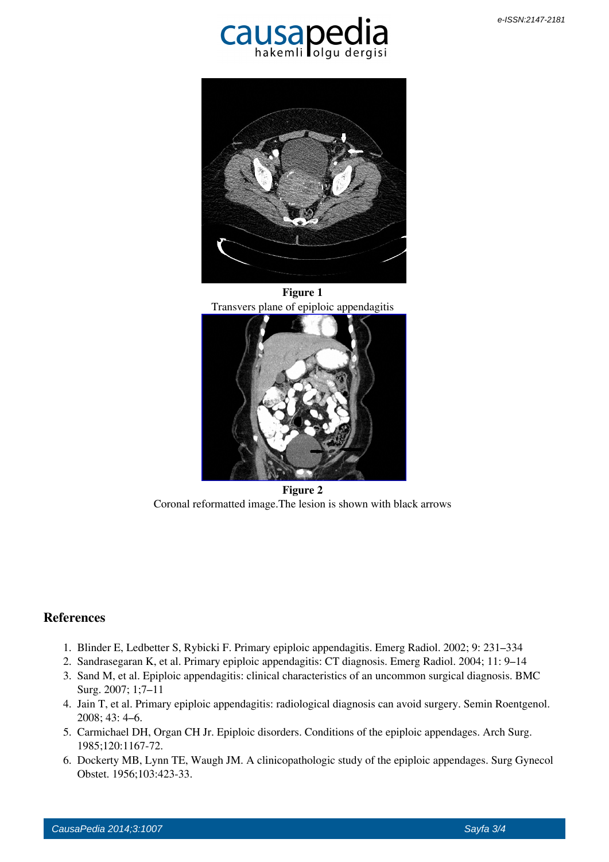



 **Figure 1** Transvers plane of epiploic appendagitis



 **Figure 2** Coronal reformatted image.The lesion is shown with black arrows

## **References**

- 1. Blinder E, Ledbetter S, Rybicki F. Primary epiploic appendagitis. Emerg Radiol. 2002; 9: 231–334
- 2. Sandrasegaran K, et al. Primary epiploic appendagitis: CT diagnosis. Emerg Radiol. 2004; 11: 9–14
- 3. Sand M, et al. Epiploic appendagitis: clinical characteristics of an uncommon surgical diagnosis. BMC Surg. 2007; 1;7–11
- 4. Jain T, et al. Primary epiploic appendagitis: radiological diagnosis can avoid surgery. Semin Roentgenol. 2008; 43: 4–6.
- 5. Carmichael DH, Organ CH Jr. Epiploic disorders. Conditions of the epiploic appendages. Arch Surg. 1985;120:1167-72.
- 6. Dockerty MB, Lynn TE, Waugh JM. A clinicopathologic study of the epiploic appendages. Surg Gynecol Obstet. 1956;103:423-33.